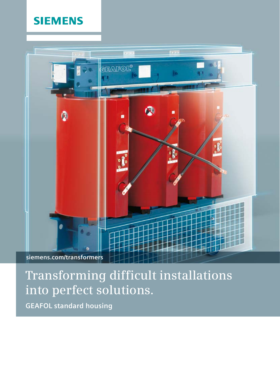### **SIEMENS**



# **Transforming difficult installations into perfect solutions.**

**GEAFOL standard housing**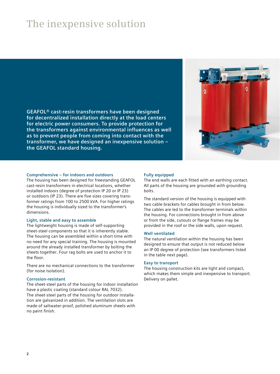## **The inexpensive solution**

**GEAFOL® cast-resin transformers have been designed for decentralized installation directly at the load centers for electric power consumers. To provide protection for the transformers against environmental influences as well as to prevent people from coming into contact with the transformer, we have designed an inexpensive solution – the GEAFOL standard housing.**



### **Comprehensive – for indoors and outdoors**

The housing has been designed for freestanding GEAFOL cast-resin transformers in electrical locations, whether installed indoors (degree of protection IP 20 or IP 23) or outdoors (IP 23). There are five sizes covering transformer ratings from 100 to 2500 kVA. For higher ratings the housing is individually sized to the transformer's dimensions.

#### **Light, stable and easy to assemble**

The lightweight housing is made of self-supporting sheet-steel components so that it is inherently stable. The housing can be assembled within a short time with no need for any special training. The housing is mounted around the already installed transformer by bolting the sheets together. Four rag bolts are used to anchor it to the floor.

There are no mechanical connections to the transformer (for noise isolation).

#### **Corrosion-resistant**

The sheet-steel parts of the housing for indoor installation have a plastic coating (standard colour RAL 7032). The sheet-steel parts of the housing for outdoor installation are galvanized in addition. The ventilation slots are made of saltwater-proof, polished aluminum sheets with no paint finish.

#### **Fully equipped**

The end walls are each fitted with an earthing contact. All parts of the housing are grounded with grounding bolts.

The standard version of the housing is equipped with two cable brackets for cables brought in from below. The cables are led to the transformer terminals within the housing. For connections brought in from above or from the side, cutouts or flange frames may be provided in the roof or the side walls, upon request.

#### **Well ventilated**

The natural ventilation within the housing has been designed to ensure that output is not reduced below an IP 00 degree of protection (see transformers listed in the table next page).

#### **Easy to transport**

The housing construction kits are light and compact, which makes them simple and inexpensive to transport. Delivery on pallet.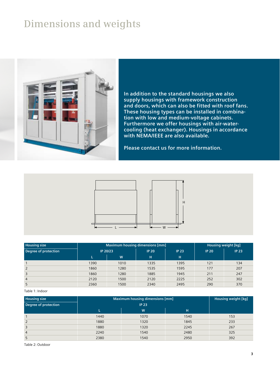### **Dimensions and weights**



**In addition to the standard housings we also supply housings with framework construction and doors, which can also be fitted with roof fans. These housing types can be installed in combination with low and medium-voltage cabinets. Furthermore we offer housings with air-watercooling (heat exchanger). Housings in accordance with NEMA/IEEE are also available.**

**Please contact us for more information.**



| <b>Housing size</b>  | Maximum housing dimensions [mm] |      |              |              | <b>Housing weight [kg]</b> |              |
|----------------------|---------------------------------|------|--------------|--------------|----------------------------|--------------|
| Degree of protection | IP 20/23                        |      | <b>IP 20</b> | <b>IP 23</b> | <b>IP 20</b>               | <b>IP 23</b> |
|                      |                                 | W    | н            | н            |                            |              |
|                      | 1390                            | 1010 | 1335         | 1395         | 121                        | 134          |
| 2                    | 1860                            | 1280 | 1535         | 1595         | 177                        | 207          |
| 3                    | 1860                            | 1280 | 1885         | 1945         | 211                        | 247          |
| $\overline{4}$       | 2120                            | 1500 | 2120         | 2225         | 252                        | 302          |
| 5                    | 2360                            | 1500 | 2340         | 2495         | 290                        | 370          |

#### Table 1: Indoor

| <b>Housing size</b>         | Maximum housing dimensions [mm] | Housing weight [kg] |      |     |
|-----------------------------|---------------------------------|---------------------|------|-----|
| <b>Degree of protection</b> |                                 |                     |      |     |
|                             |                                 | W                   | н    |     |
|                             | 1440                            | 1070                | 1540 | 153 |
| 2                           | 1880                            | 1320                | 1845 | 233 |
| 3                           | 1880                            | 1320                | 2245 | 267 |
| $\overline{4}$              | 2240                            | 1540                | 2480 | 325 |
| 5                           | 2380                            | 1540                | 2950 | 392 |

Table 2: Outdoor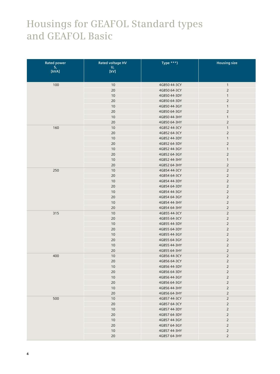### **Housings for GEAFOL Standard types and GEAFOL Basic**

| <b>Rated power</b>               | <b>Rated voltage HV</b>         | Type ***)    | <b>Housing size</b> |
|----------------------------------|---------------------------------|--------------|---------------------|
| $\mathsf{S}_\mathsf{r}$<br>[kVA] | $\mathsf{U}_\mathsf{r}$<br>[kV] |              |                     |
|                                  |                                 |              |                     |
| 100                              | 10                              | 4GB50 44-3CY | $\mathbf{1}$        |
|                                  | 20                              | 4GB50 64-3CY | $\overline{2}$      |
|                                  | 10                              | 4GB50 44-3DY | $\mathbf{1}$        |
|                                  | 20                              | 4GB50 64-3DY | $\overline{2}$      |
|                                  | 10                              | 4GB50 44-3GY | $\mathbf{1}$        |
|                                  | 20                              | 4GB50 64-3GY | $\overline{2}$      |
|                                  | 10                              | 4GB50 44-3HY | $\mathbf{1}$        |
|                                  | 20                              | 4GB50 64-3HY | $\overline{2}$      |
| 160                              | 10                              | 4GB52 44-3CY | $\mathbf{1}$        |
|                                  | 20                              | 4GB52 64-3CY | $\overline{2}$      |
|                                  | 10                              | 4GB52 44-3DY | $\mathbf{1}$        |
|                                  | 20                              | 4GB52 64-3DY | $\overline{2}$      |
|                                  | 10                              | 4GB52 44-3GY | $\mathbf{1}$        |
|                                  | 20                              | 4GB52 64-3GY | $\mathsf{2}\,$      |
|                                  | 10                              | 4GB52 44-3HY | $\mathbf{1}$        |
|                                  | 20                              | 4GB52 64-3HY | $\mathsf{2}\,$      |
| 250                              | 10                              | 4GB54 44-3CY | $\overline{2}$      |
|                                  | 20                              | 4GB54 64-3CY | $\overline{2}$      |
|                                  | 10                              | 4GB54 44-3DY | $\overline{2}$      |
|                                  | 20                              | 4GB54 64-3DY | $\overline{2}$      |
|                                  | 10                              | 4GB54 44-3GY | $\overline{2}$      |
|                                  | 20                              | 4GB54 64-3GY | $\overline{2}$      |
|                                  | 10                              | 4GB54 44-3HY | $\overline{2}$      |
|                                  | 20                              | 4GB54 64-3HY | $\overline{2}$      |
| 315                              | 10                              | 4GB55 44-3CY | $\overline{2}$      |
|                                  | 20                              | 4GB55 64-3CY | $\overline{2}$      |
|                                  | 10                              | 4GB55 44-3DY | $\mathsf{2}\,$      |
|                                  | 20                              | 4GB55 64-3DY | $\overline{2}$      |
|                                  | 10                              | 4GB55 44-3GY | $\overline{2}$      |
|                                  | 20                              | 4GB55 64-3GY | $\overline{2}$      |
|                                  | 10                              | 4GB55 44-3HY | $\overline{2}$      |
|                                  | 20                              | 4GB55 64-3HY | $\overline{2}$      |
| 400                              | 10                              | 4GB56 44-3CY | $\overline{2}$      |
|                                  | 20                              | 4GB56 64-3CY | $\overline{c}$      |
|                                  | 10                              | 4GB56 44-3DY | $\overline{2}$      |
|                                  | 20                              | 4GB56 64-3DY | 2                   |
|                                  | 10                              | 4GB56 44-3GY | $\overline{2}$      |
|                                  | 20                              | 4GB56 64-3GY | $\overline{2}$      |
|                                  | 10                              | 4GB56 44-3HY | $\overline{2}$      |
|                                  | 20                              | 4GB56 64-3HY | $\overline{2}$      |
| 500                              | 10                              | 4GB57 44-3CY | $\overline{2}$      |
|                                  | 20                              | 4GB57 64-3CY | $\overline{2}$      |
|                                  | 10                              | 4GB57 44-3DY | $\overline{2}$      |
|                                  | 20                              | 4GB57 64-3DY | $\overline{2}$      |
|                                  | 10                              | 4GB57 44-3GY | $\overline{2}$      |
|                                  | 20                              | 4GB57 64-3GY | $\overline{2}$      |
|                                  | 10                              | 4GB57 44-3HY | $\overline{2}$      |
|                                  | 20                              | 4GB57 64-3HY | $\overline{2}$      |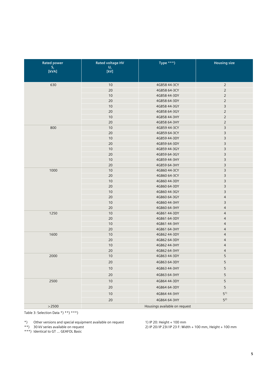| <b>Rated power</b>                               | <b>Rated voltage HV</b>       | Type ***)                    | <b>Housing size</b>              |  |
|--------------------------------------------------|-------------------------------|------------------------------|----------------------------------|--|
| $\frac{\mathsf{S}_{\mathsf{r}}}{[\mathsf{KVA}]}$ | $\frac{U_r}{[kV]}$            |                              |                                  |  |
|                                                  |                               |                              |                                  |  |
| 630                                              | 10                            | 4GB58 44-3CY                 | $\overline{2}$                   |  |
|                                                  | 20                            | 4GB58 64-3CY                 | $\overline{2}$                   |  |
|                                                  | 10                            | 4GB58 44-3DY                 | $\overline{2}$                   |  |
|                                                  | 20                            | 4GB58 64-3DY                 | $\overline{2}$                   |  |
|                                                  | 10                            | 4GB58 44-3GY                 | $\mathsf 3$                      |  |
|                                                  | 20                            | 4GB58 64-3GY                 | $\mathbf 2$                      |  |
|                                                  | 10                            | 4GB58 44-3HY                 | $\overline{2}$                   |  |
|                                                  | 20                            | 4GB58 64-3HY                 | $\overline{2}$                   |  |
| 800                                              | 10                            | 4GB59 44-3CY                 | $\mathsf 3$                      |  |
|                                                  | 20                            | 4GB59 64-3CY                 | $\overline{3}$                   |  |
|                                                  | 10                            | 4GB59 44-3DY                 | $\overline{3}$                   |  |
|                                                  | 20                            | 4GB59 64-3DY                 | 3                                |  |
|                                                  | 10                            | 4GB59 44-3GY                 | 3                                |  |
|                                                  | 20                            | 4GB59 64-3GY                 | $\overline{3}$                   |  |
|                                                  | 10                            | 4GB59 44-3HY                 | 3                                |  |
|                                                  | 20                            | 4GB59 64-3HY                 | 3                                |  |
| 1000                                             | 10                            | 4GB60 44-3CY                 | 3                                |  |
|                                                  | 20                            | 4GB60 64-3CY                 | $\overline{3}$                   |  |
|                                                  | 10                            | 4GB60 44-3DY                 | $\overline{3}$                   |  |
|                                                  | 20                            | 4GB60 64-3DY                 | $\overline{3}$                   |  |
|                                                  | 10                            | 4GB60 44-3GY                 | 3                                |  |
|                                                  | 20                            | 4GB60 64-3GY                 | $\overline{4}$                   |  |
|                                                  | 10                            | 4GB60 44-3HY                 | 3                                |  |
|                                                  | 20                            | 4GB60 64-3HY                 | $\overline{4}$                   |  |
| 1250                                             | 10                            | 4GB61 44-3DY                 | $\overline{4}$                   |  |
|                                                  | 20<br>10                      | 4GB61 64-3DY                 | $\overline{4}$<br>$\overline{4}$ |  |
|                                                  | 20                            | 4GB61 44-3HY<br>4GB61 64-3HY | $\overline{4}$                   |  |
| 1600                                             | 10                            | 4GB62 44-3DY                 | $\overline{4}$                   |  |
|                                                  | 20                            | 4GB62 64-3DY                 | $\overline{4}$                   |  |
|                                                  | 10                            | 4GB62 44-3HY                 | $\overline{4}$                   |  |
|                                                  | 20                            | 4GB62 64-3HY                 | $\overline{4}$                   |  |
| 2000                                             | 10                            | 4GB63 44-3DY                 | 5                                |  |
|                                                  | 20                            | 4GB63 64-3DY                 | 5                                |  |
|                                                  |                               |                              |                                  |  |
|                                                  | 10                            | 4GB63 44-3HY                 | 5                                |  |
|                                                  | 20                            | 4GB63 64-3HY                 | 5                                |  |
| 2500                                             | $10$                          | 4GB64 44-3DY                 | 5                                |  |
|                                                  | 20                            | 4GB64 64-3DY                 | 5                                |  |
|                                                  | $10$                          | 4GB64 44-3HY                 | $5^{1}$                          |  |
|                                                  | 20                            | 4GB64 64-3HY                 | $5^{2}$                          |  |
| >2500                                            | Housings available on request |                              |                                  |  |

Table 3: Selection Data \*) \*\*) \*\*\*)

\*\*) 30 kV series available on request

\*\*\*) Identical to GT … GEAFOL Basic

1) IP 20: Height + 100 mm

2) IP 20/IP 23I/IP 23 F: Width + 100 mm, Height + 100 mm

<sup>\*)</sup> Other versions and special equipment available on request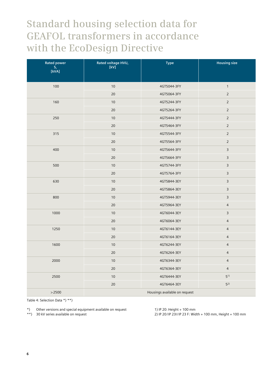### **Standard housing selection data for GEAFOL transformers in accordance with the EcoDesign Directive**

| <b>Rated power</b><br>$S_r$ [kVA] | Rated voltage HVU <sub>r</sub><br>[kV] | <b>Type</b> | <b>Housing size</b> |  |
|-----------------------------------|----------------------------------------|-------------|---------------------|--|
| 100                               | 10                                     | 4GT5044-3FY | $\mathbf{1}$        |  |
|                                   | 20                                     | 4GT5064-3FY | $\overline{2}$      |  |
| 160                               | 10                                     | 4GT5244-3FY | $\overline{2}$      |  |
|                                   | 20                                     | 4GT5264-3FY | $\sqrt{2}$          |  |
| 250                               | 10                                     | 4GT5444-3FY | $\sqrt{2}$          |  |
|                                   | 20                                     | 4GT5464-3FY | $\overline{2}$      |  |
| 315                               | 10                                     | 4GT5544-3FY | $\overline{2}$      |  |
|                                   | 20                                     | 4GT5564-3FY | $\sqrt{2}$          |  |
| 400                               | 10                                     | 4GT5644-3FY | $\overline{3}$      |  |
|                                   | 20                                     | 4GT5664-3FY | $\mathsf 3$         |  |
| 500                               | 10                                     | 4GT5744-3FY | $\overline{3}$      |  |
|                                   | 20                                     | 4GT5764-3FY | $\overline{3}$      |  |
| 630                               | 10                                     | 4GT5844-3EY | $\overline{3}$      |  |
|                                   | 20                                     | 4GT5864-3EY | 3                   |  |
| 800                               | 10                                     | 4GT5944-3EY | $\overline{3}$      |  |
|                                   | 20                                     | 4GT5964-3EY | $\overline{4}$      |  |
| 1000                              | 10                                     | 4GT6044-3EY | $\overline{3}$      |  |
|                                   | $20\,$                                 | 4GT6064-3EY | $\overline{4}$      |  |
| 1250                              | 10                                     | 4GT6144-3EY | $\overline{4}$      |  |
|                                   | 20                                     | 4GT6164-3EY | $\overline{4}$      |  |
| 1600                              | 10                                     | 4GT6244-3EY | $\overline{4}$      |  |
|                                   | 20                                     | 4GT6264-3EY | $\overline{4}$      |  |
| 2000                              | $10$                                   | 4GT6344-3EY | $\overline{4}$      |  |
|                                   | 20                                     | 4GT6364-3EY | $\overline{4}$      |  |
| 2500                              | 10                                     | 4GT6444-3EY | $5^{1}$             |  |
|                                   | 20                                     | 4GT6464-3EY | $5^{2}$             |  |
| >2500                             | Housings available on request          |             |                     |  |

Table 4: Selection Data \*) \*\*)

\*) Other versions and special equipment available on request

\*\*) 30 kV series available on request

1) IP 20: Height + 100 mm

2) IP 20/IP 23I/IP 23 F: Width + 100 mm, Height + 100 mm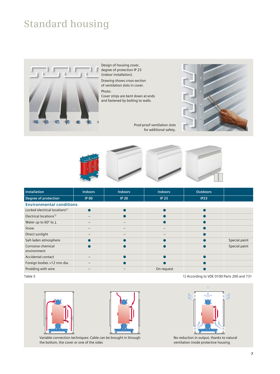## **Standard housing**



Design of housing cover, degree of protection IP 23 (indoor installation).

Drawing shows cross-section of ventilation slots in cover. Photo:

Cover strips are bent down at ends and fastened by bolting to walls.

Prod-proof ventilation slots for additional safety.





| <b>Installation</b>                       | <b>Indoors</b> | <b>Indoors</b> | <b>Indoors</b>   | <b>Outdoors</b> |               |
|-------------------------------------------|----------------|----------------|------------------|-----------------|---------------|
| Degree of protection                      | <b>IP 00</b>   | <b>IP 20</b>   | IP <sub>23</sub> | <b>IP23</b>     |               |
| <b>Environmental conditions</b>           |                |                |                  |                 |               |
| Locked electrical locations <sup>1)</sup> |                |                |                  |                 |               |
| Electrical locations <sup>1)</sup>        |                |                |                  |                 |               |
| Water up to $60^\circ$ to $\perp$         |                |                |                  |                 |               |
| Snow                                      |                |                |                  |                 |               |
| Direct sunlight                           |                |                |                  |                 |               |
| Salt-laden atmosphere                     |                |                |                  |                 | Special paint |
| Corrosive chemical<br>environment         |                |                |                  |                 | Special paint |
| Accidental contact                        |                |                |                  |                 |               |
| Foreign bodies >12 mm dia.                |                |                |                  |                 |               |
| Prodding with wire                        |                |                | On request       |                 |               |

#### Table 5 1) According to VDE 0100 Parts 200 and 731





Variable connection techniques: Cable can be brought in through the bottom, the cover or one of the sides



No reduction in output, thanks to natural ventilation inside protective housing

**7**